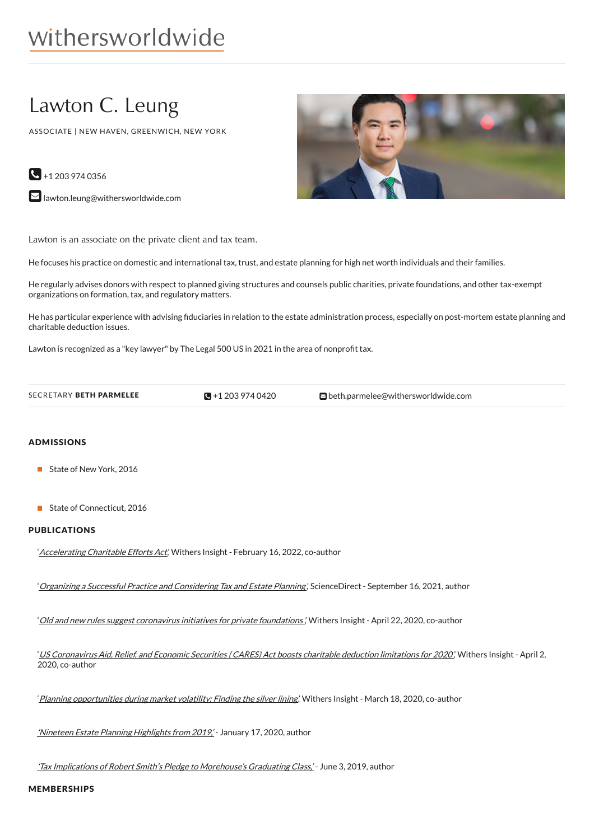# withersworldwide

# Lawton C. Leung

ASSOCIATE | NEW HAVEN, GREENWICH, NEW YORK

 $\bigodot$  +1 203 974 0356

**M** [lawton.leung@withersworldwide.com](mailto:lawton.leung@withersworldwide.com?subject=Website Enquiry - Profile Page)

Lawton is an associate on the private client and tax team.

He focuses his practice on domestic and international tax, trust, and estate planning for high net worth individuals and their families.

He regularly advises donors with respect to planned giving structures and counsels public charities, private foundations, and other tax-exempt organizations on formation, tax, and regulatory matters.

He has particular experience with advising fiduciaries in relation to the estate administration process, especially on post-mortem estate planning and charitable deduction issues.

Lawton is recognized as a "key lawyer" by The Legal 500 US in 2021 in the area of nonprofit tax.

 $\blacksquare$ +1 203 974 0420

SECRETARY BETH PARMELEE **+1** 203 974 [0420](tel:+1 203 974 0420) **[beth.parmelee@withersworldwide.com](mailto:beth.parmelee@withersworldwide.com)** 

### ADMISSIONS

- State of New York, 2016
- State of Connecticut, 2016

# PUBLICATIONS

'[Accelerating](https://www.withersworldwide.com/en-gb/insight/accelerating-charitable-efforts-act) Charitable Efforts Act,' Withers Insight - February 16, 2022, co-author

<sup>'</sup> Organizing a Successful Practice and [Considering](https://www.sciencedirect.com/science/article/pii/S0030666521001705?dgcid=author) Tax and Estate Planning', ScienceDirect - September 16, 2021, author

'Old and new rules suggest coronavirus initiatives for private [foundations](https://www.withersworldwide.com/en-gb/insight/old-and-new-rules-suggest-coronavirus-initiatives-for-private-foundations) ,' Withers Insight - April 22, 2020, co-author

'US [Coronavirus](https://www.withersworldwide.com/en-gb/insight/us-coronavirus-aid-relief-and-economic-security-cares-act-boosts-charitable-deduction-limitations-for-2020) Aid, Relief, and Economic Securities (CARES) Act boosts charitable deduction limitations for 2020', Withers Insight - April 2, 2020, co-author

'Planning [opportunities](https://www.withersworldwide.com/en-gb/insight/planning-opportunities-during-market-volatility-finding-the-silver-lining) during market volatility: Finding the silver lining,' Withers Insight - March 18, 2020, co-author

'Nineteen Estate Planning [Highlights](https://www.wealthmanagement.com/estate-planning/nineteen-estate-planning-highlights-2019?NL=WM-027&Issue=WM-027_20200117_WM-027_306&sfvc4enews=42&cl=article_2&utm_rid=CPG09000002875190&utm_campaign=25124&utm_medium=email&elq2=37c941ae3e364f33a634878b9f6a28bbWealthManagement.com) from 2019,' - January 17, 2020, author

'Tax Implications of Robert Smith's Pledge to [Morehouse's](https://www.wealthmanagement.com/high-net-worth/tax-implications-robert-smiths-pledge-morehouses-graduating-class?NL=WM-025&Issue=WM-025_20190603_WM-025_11&sfvc4enews=42&cl=article_1_b&utm_rid=CPG09000006034847&utm_campaign=20826&utm_medium=email&elq2=c4efd8959b104c50b63e9288fb8c748fWealthManagement.com) Graduating Class,' - June 3, 2019, author

MEMBERSHIPS